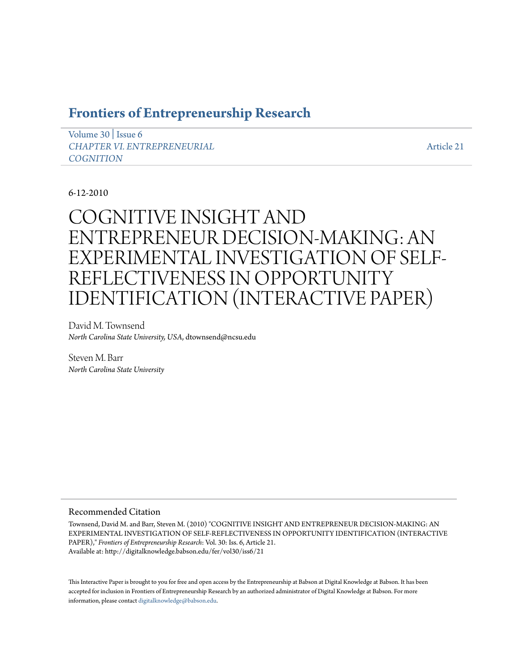# **[Frontiers of Entrepreneurship Research](http://digitalknowledge.babson.edu/fer)**

[Volume 30](http://digitalknowledge.babson.edu/fer/vol30) | [Issue 6](http://digitalknowledge.babson.edu/fer/vol30/iss6) *[CHAPTER VI. ENTREPRENEURIAL](http://digitalknowledge.babson.edu/fer/vol30/iss6) [COGNITION](http://digitalknowledge.babson.edu/fer/vol30/iss6)*

[Article 21](http://digitalknowledge.babson.edu/fer/vol30/iss6/21)

# 6-12-2010

# COGNITIVE INSIGHT AND ENTREPRENEUR DECISION-MAKING: AN EXPERIMENTAL INVESTIGATION OF SELF-REFLECTIVENESS IN OPPORTUNITY IDENTIFICATION (INTERACTIVE PAPER)

David M. Townsend *North Carolina State University, USA*, dtownsend@ncsu.edu

Steven M. Barr *North Carolina State University*

### Recommended Citation

Townsend, David M. and Barr, Steven M. (2010) "COGNITIVE INSIGHT AND ENTREPRENEUR DECISION-MAKING: AN EXPERIMENTAL INVESTIGATION OF SELF-REFLECTIVENESS IN OPPORTUNITY IDENTIFICATION (INTERACTIVE PAPER)," *Frontiers of Entrepreneurship Research*: Vol. 30: Iss. 6, Article 21. Available at: http://digitalknowledge.babson.edu/fer/vol30/iss6/21

This Interactive Paper is brought to you for free and open access by the Entrepreneurship at Babson at Digital Knowledge at Babson. It has been accepted for inclusion in Frontiers of Entrepreneurship Research by an authorized administrator of Digital Knowledge at Babson. For more information, please contact [digitalknowledge@babson.edu.](mailto:digitalknowledge@babson.edu)